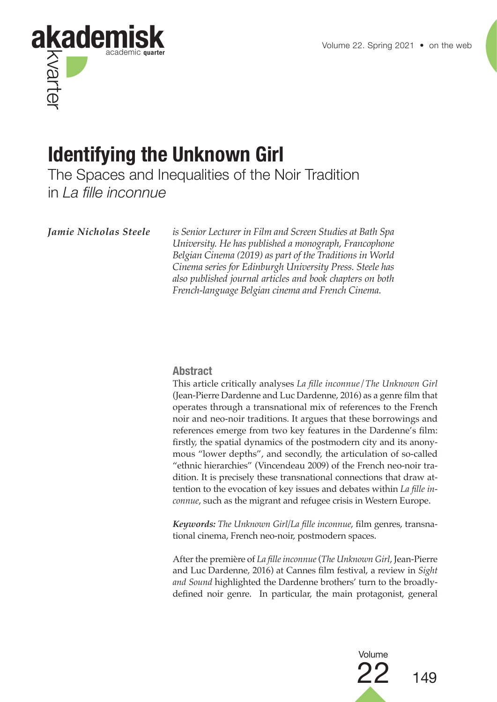

# **Identifying the Unknown Girl**

The Spaces and Inequalities of the Noir Tradition in *La fille inconnue*

*Jamie Nicholas Steele is Senior Lecturer in Film and Screen Studies at Bath Spa University. He has published a monograph, Francophone Belgian Cinema (2019) as part of the Traditions in World Cinema series for Edinburgh University Press. Steele has also published journal articles and book chapters on both French-language Belgian cinema and French Cinema.*

#### **Abstract**

This article critically analyses *La fille inconnue*/*The Unknown Girl*  (Jean-Pierre Dardenne and Luc Dardenne, 2016) as a genre film that operates through a transnational mix of references to the French noir and neo-noir traditions. It argues that these borrowings and references emerge from two key features in the Dardenne's film: firstly, the spatial dynamics of the postmodern city and its anonymous "lower depths", and secondly, the articulation of so-called "ethnic hierarchies" (Vincendeau 2009) of the French neo-noir tradition. It is precisely these transnational connections that draw attention to the evocation of key issues and debates within *La fille inconnue*, such as the migrant and refugee crisis in Western Europe.

*Keywords: The Unknown Girl/La fille inconnue*, film genres, transnational cinema, French neo-noir, postmodern spaces.

After the première of *La fille inconnue* (*The Unknown Girl*, Jean-Pierre and Luc Dardenne, 2016) at Cannes film festival, a review in *Sight and Sound* highlighted the Dardenne brothers' turn to the broadlydefined noir genre. In particular, the main protagonist, general

Volume

22 <sup>149</sup>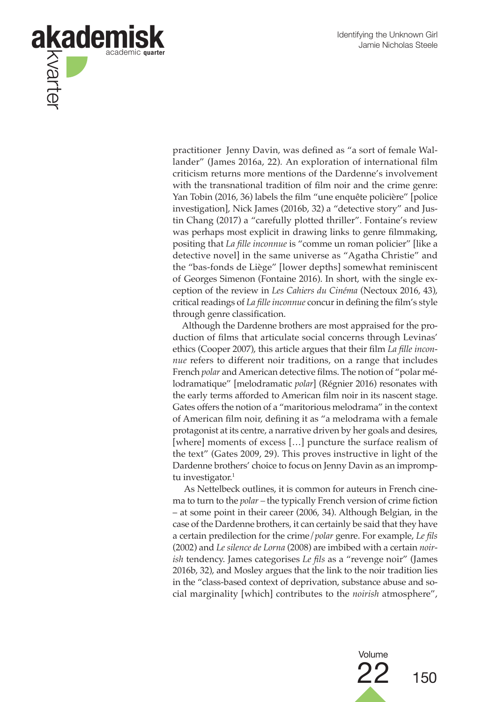

practitioner Jenny Davin, was defined as "a sort of female Wallander" (James 2016a, 22)*.* An exploration of international film criticism returns more mentions of the Dardenne's involvement with the transnational tradition of film noir and the crime genre: Yan Tobin (2016, 36) labels the film "une enquête policière" [police investigation], Nick James (2016b, 32) a "detective story" and Justin Chang (2017) a "carefully plotted thriller". Fontaine's review was perhaps most explicit in drawing links to genre filmmaking, positing that *La fille inconnue* is "comme un roman policier" [like a detective novel] in the same universe as "Agatha Christie" and the "bas-fonds de Liège" [lower depths] somewhat reminiscent of Georges Simenon (Fontaine 2016). In short, with the single exception of the review in *Les Cahiers du Cinéma* (Nectoux 2016, 43), critical readings of *La fille inconnue* concur in defining the film's style through genre classification.

Although the Dardenne brothers are most appraised for the production of films that articulate social concerns through Levinas' ethics (Cooper 2007), this article argues that their film *La fille inconnue* refers to different noir traditions, on a range that includes French *polar* and American detective films. The notion of "polar mélodramatique" [melodramatic *polar*] (Régnier 2016) resonates with the early terms afforded to American film noir in its nascent stage. Gates offers the notion of a "maritorious melodrama" in the context of American film noir, defining it as "a melodrama with a female protagonist at its centre, a narrative driven by her goals and desires, [where] moments of excess [...] puncture the surface realism of the text" (Gates 2009, 29). This proves instructive in light of the Dardenne brothers' choice to focus on Jenny Davin as an impromptu investigator. $1$ 

 As Nettelbeck outlines, it is common for auteurs in French cinema to turn to the *polar –* the typically French version of crime fiction – at some point in their career (2006, 34). Although Belgian, in the case of the Dardenne brothers, it can certainly be said that they have a certain predilection for the crime/*polar* genre. For example, *Le fils*  (2002) and *Le silence de Lorna* (2008) are imbibed with a certain *noirish* tendency. James categorises *Le fils* as a "revenge noir" (James 2016b, 32), and Mosley argues that the link to the noir tradition lies in the "class-based context of deprivation, substance abuse and social marginality [which] contributes to the *noirish* atmosphere",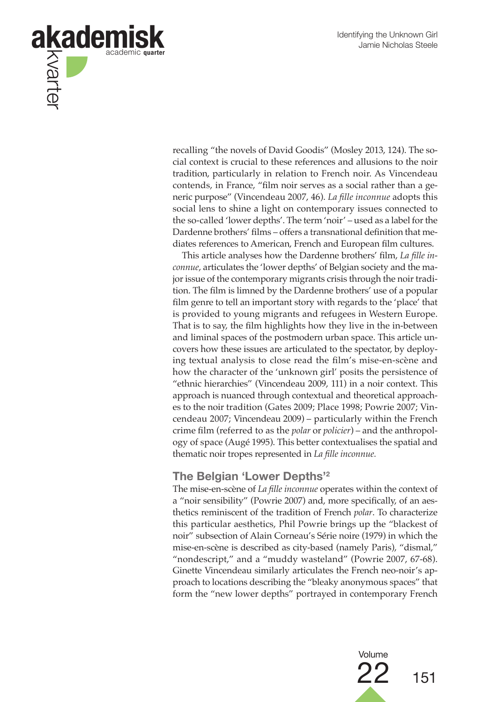

recalling "the novels of David Goodis" (Mosley 2013, 124). The social context is crucial to these references and allusions to the noir tradition, particularly in relation to French noir. As Vincendeau contends, in France, "film noir serves as a social rather than a generic purpose" (Vincendeau 2007, 46). *La fille inconnue* adopts this social lens to shine a light on contemporary issues connected to the so-called 'lower depths'. The term 'noir' – used as a label forthe Dardenne brothers' films – offers a transnational definition that mediates references to American, French and European film cultures.

This article analyses how the Dardenne brothers' film, *La fille inconnue*, articulates the 'lower depths' of Belgian society and the major issue of the contemporary migrants crisis through the noir tradition. The film is limned by the Dardenne brothers' use of a popular film genre to tell an important story with regards to the 'place' that is provided to young migrants and refugees in Western Europe. That is to say, the film highlights how they live in the in-between and liminal spaces of the postmodern urban space. This article uncovers how these issues are articulated to the spectator, by deploying textual analysis to close read the film's mise-en-scène and how the character of the 'unknown girl' posits the persistence of "ethnic hierarchies" (Vincendeau 2009, 111) in a noir context. This approach is nuanced through contextual and theoretical approaches to the noir tradition (Gates 2009; Place 1998; Powrie 2007; Vincendeau 2007; Vincendeau 2009) – particularly within the French crime film (referred to as the *polar* or *policier*) – and the anthropology of space (Augé 1995). This better contextualises the spatial and thematic noir tropes represented in *La fille inconnue.*

## **The Belgian 'Lower Depths'2**

The mise-en-scène of *La fille inconnue* operates within the context of a "noir sensibility" (Powrie 2007) and, more specifically, of an aesthetics reminiscent of the tradition of French *polar*. To characterize this particular aesthetics, Phil Powrie brings up the "blackest of noir" subsection of Alain Corneau's Série noire (1979) in which the mise-en-scène is described as city-based (namely Paris), "dismal," "nondescript," and a "muddy wasteland" (Powrie 2007, 67-68). Ginette Vincendeau similarly articulates the French neo-noir's approach to locations describing the "bleaky anonymous spaces" that form the "new lower depths" portrayed in contemporary French

> Volume  $22_{151}$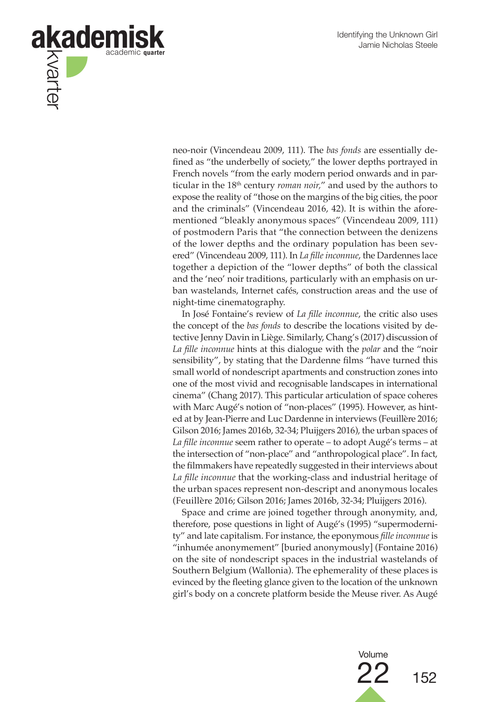

neo-noir (Vincendeau 2009, 111). The *bas fonds* are essentially defined as "the underbelly of society," the lower depths portrayed in French novels "from the early modern period onwards and in particular in the 18th century *roman noir,*" and used by the authors to expose the reality of "those on the margins of the big cities, the poor and the criminals" (Vincendeau 2016, 42). It is within the aforementioned "bleakly anonymous spaces" (Vincendeau 2009, 111) of postmodern Paris that "the connection between the denizens of the lower depths and the ordinary population has been severed" (Vincendeau 2009, 111). In *La fille inconnue*, the Dardennes lace together a depiction of the "lower depths" of both the classical and the 'neo' noir traditions, particularly with an emphasis on urban wastelands, Internet cafés, construction areas and the use of night-time cinematography.

In José Fontaine's review of *La fille inconnue*, the critic also uses the concept of the *bas fonds* to describe the locations visited by detective Jenny Davin in Liège. Similarly, Chang's (2017) discussion of *La fille inconnue* hints at this dialogue with the *polar* and the "noir sensibility", by stating that the Dardenne films "have turned this small world of nondescript apartments and construction zones into one of the most vivid and recognisable landscapes in international cinema" (Chang 2017). This particular articulation of space coheres with Marc Augé's notion of "non-places" (1995). However, as hinted at by Jean-Pierre and Luc Dardenne in interviews (Feuillère 2016; Gilson 2016; James 2016b, 32-34; Pluijgers 2016), the urban spaces of *La fille inconnue* seem rather to operate – to adopt Augé's terms – at the intersection of "non-place" and "anthropological place". In fact, the filmmakers have repeatedly suggested in their interviews about *La fille inconnue* that the working-class and industrial heritage of the urban spaces represent non-descript and anonymous locales (Feuillère 2016; Gilson 2016; James 2016b, 32-34; Pluijgers 2016).

Space and crime are joined together through anonymity, and, therefore, pose questions in light of Augé's (1995) "supermodernity" and late capitalism. For instance, the eponymous *fille inconnue* is "inhumée anonymement" [buried anonymously] (Fontaine 2016) on the site of nondescript spaces in the industrial wastelands of Southern Belgium (Wallonia). The ephemerality of these places is evinced by the fleeting glance given to the location of the unknown girl's body on a concrete platform beside the Meuse river. As Augé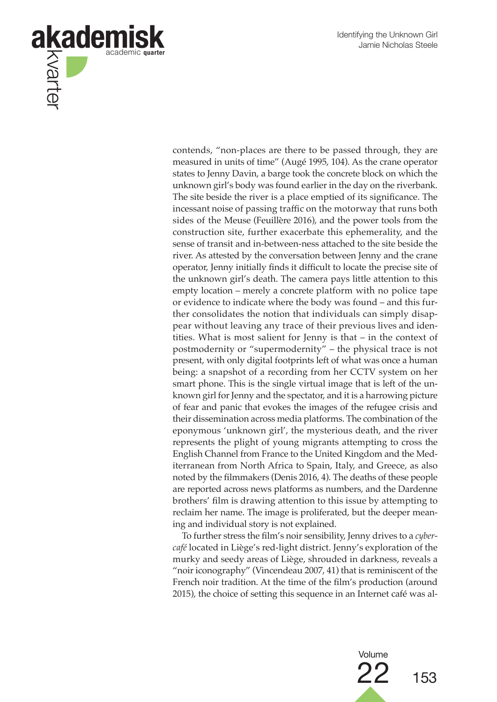

contends, "non-places are there to be passed through, they are measured in units of time" (Augé 1995, 104). As the crane operator states to Jenny Davin, a barge took the concrete block on which the unknown girl's body was found earlier in the day on the riverbank. The site beside the river is a place emptied of its significance. The incessant noise of passing traffic on the motorway that runs both sides of the Meuse (Feuillère 2016), and the power tools from the construction site, further exacerbate this ephemerality, and the sense of transit and in-between-ness attached to the site beside the river. As attested by the conversation between Jenny and the crane operator, Jenny initially finds it difficult to locate the precise site of the unknown girl's death. The camera pays little attention to this empty location – merely a concrete platform with no police tape or evidence to indicate where the body was found – and this further consolidates the notion that individuals can simply disappear without leaving any trace of their previous lives and identities. What is most salient for Jenny is that – in the context of postmodernity or "supermodernity" – the physical trace is not present, with only digital footprints left of what was once a human being: a snapshot of a recording from her CCTV system on her smart phone. This is the single virtual image that is left of the unknown girl for Jenny and the spectator, and it is a harrowing picture of fear and panic that evokes the images of the refugee crisis and their dissemination across media platforms. The combination of the eponymous 'unknown girl', the mysterious death, and the river represents the plight of young migrants attempting to cross the English Channel from France to the United Kingdom and the Mediterranean from North Africa to Spain, Italy, and Greece, as also noted by the filmmakers (Denis 2016, 4). The deaths of these people are reported across news platforms as numbers, and the Dardenne brothers' film is drawing attention to this issue by attempting to reclaim her name. The image is proliferated, but the deeper meaning and individual story is not explained.

To further stress the film's noir sensibility, Jenny drives to a *cybercafé* located in Liège's red-light district. Jenny's exploration of the murky and seedy areas of Liège, shrouded in darkness, reveals a "noir iconography" (Vincendeau 2007, 41) that is reminiscent of the French noir tradition. At the time of the film's production (around 2015), the choice of setting this sequence in an Internet café was al-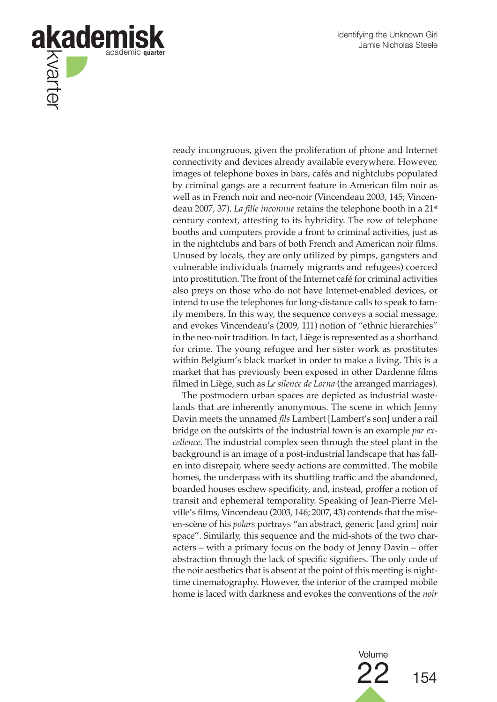

ready incongruous, given the proliferation of phone and Internet connectivity and devices already available everywhere. However, images of telephone boxes in bars, cafés and nightclubs populated by criminal gangs are a recurrent feature in American film noir as well as in French noir and neo-noir (Vincendeau 2003, 145; Vincendeau 2007, 37). *La fille inconnue* retains the telephone booth in a 21st century context, attesting to its hybridity. The row of telephone booths and computers provide a front to criminal activities, just as in the nightclubs and bars of both French and American noir films. Unused by locals, they are only utilized by pimps, gangsters and vulnerable individuals (namely migrants and refugees) coerced into prostitution. The front of the Internet café for criminal activities also preys on those who do not have Internet-enabled devices, or intend to use the telephones for long-distance calls to speak to family members. In this way, the sequence conveys a social message, and evokes Vincendeau's (2009, 111) notion of "ethnic hierarchies" in the neo-noir tradition. In fact, Liège is represented as a shorthand for crime. The young refugee and her sister work as prostitutes within Belgium's black market in order to make a living. This is a market that has previously been exposed in other Dardenne films filmed in Liège, such as *Le silence de Lorna* (the arranged marriages).

The postmodern urban spaces are depicted as industrial wastelands that are inherently anonymous. The scene in which Jenny Davin meets the unnamed *fils* Lambert [Lambert's son] under a rail bridge on the outskirts of the industrial town is an example *par excellence*. The industrial complex seen through the steel plant in the background is an image of a post-industrial landscape that has fallen into disrepair, where seedy actions are committed. The mobile homes, the underpass with its shuttling traffic and the abandoned, boarded houses eschew specificity, and, instead, proffer a notion of transit and ephemeral temporality. Speaking of Jean-Pierre Melville's films, Vincendeau (2003, 146; 2007, 43) contends that the miseen-scène of his *polars* portrays "an abstract, generic [and grim] noir space". Similarly, this sequence and the mid-shots of the two characters – with a primary focus on the body of Jenny Davin – offer abstraction through the lack of specific signifiers. The only code of the noir aesthetics that is absent at the point of this meeting is nighttime cinematography. However, the interior of the cramped mobile home is laced with darkness and evokes the conventions of the *noir*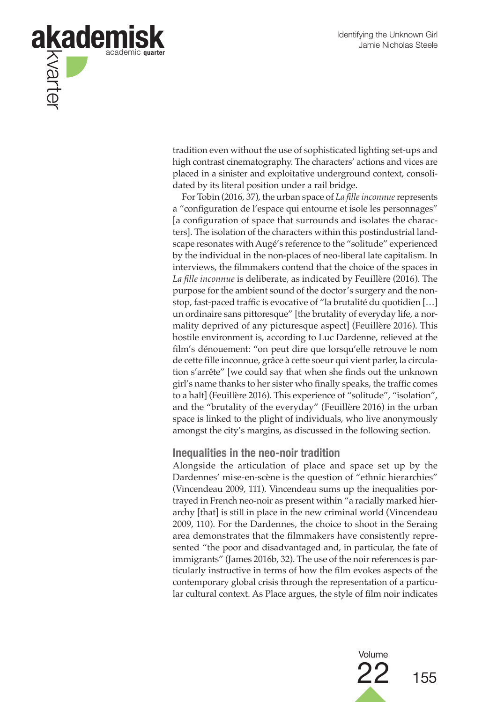

tradition even without the use of sophisticated lighting set-ups and high contrast cinematography. The characters' actions and vices are placed in a sinister and exploitative underground context, consolidated by its literal position under a rail bridge.

For Tobin (2016, 37), the urban space of *La fille inconnue* represents a "configuration de l'espace qui entourne et isole les personnages" [a configuration of space that surrounds and isolates the characters]. The isolation of the characters within this postindustrial landscape resonates with Augé's reference to the "solitude" experienced by the individual in the non-places of neo-liberal late capitalism. In interviews, the filmmakers contend that the choice of the spaces in *La fille inconnue* is deliberate, as indicated by Feuillère (2016). The purpose for the ambient sound of the doctor's surgery and the nonstop, fast-paced traffic is evocative of "la brutalité du quotidien […] un ordinaire sans pittoresque" [the brutality of everyday life, a normality deprived of any picturesque aspect] (Feuillère 2016). This hostile environment is, according to Luc Dardenne, relieved at the film's dénouement: "on peut dire que lorsqu'elle retrouve le nom de cette fille inconnue, grâce à cette soeur qui vient parler, la circulation s'arrête" [we could say that when she finds out the unknown girl's name thanks to her sister who finally speaks, the traffic comes to a halt] (Feuillère 2016). This experience of "solitude", "isolation", and the "brutality of the everyday" (Feuillère 2016) in the urban space is linked to the plight of individuals, who live anonymously amongst the city's margins, as discussed in the following section.

#### **Inequalities in the neo-noir tradition**

Alongside the articulation of place and space set up by the Dardennes' mise-en-scène is the question of "ethnic hierarchies" (Vincendeau 2009, 111). Vincendeau sums up the inequalities portrayed in French neo-noir as present within "a racially marked hierarchy [that] is still in place in the new criminal world (Vincendeau 2009, 110). For the Dardennes, the choice to shoot in the Seraing area demonstrates that the filmmakers have consistently represented "the poor and disadvantaged and, in particular, the fate of immigrants" (James 2016b, 32). The use of the noir references is particularly instructive in terms of how the film evokes aspects of the contemporary global crisis through the representation of a particular cultural context. As Place argues, the style of film noir indicates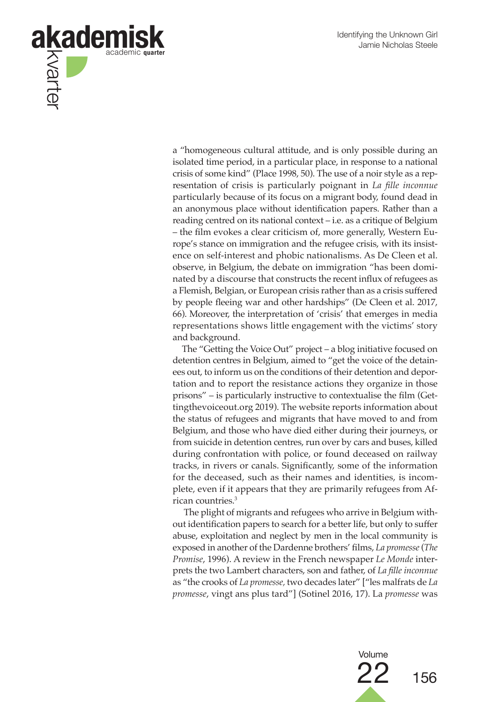

a "homogeneous cultural attitude, and is only possible during an isolated time period, in a particular place, in response to a national crisis of some kind" (Place 1998, 50). The use of a noir style as a representation of crisis is particularly poignant in *La fille inconnue* particularly because of its focus on a migrant body, found dead in an anonymous place without identification papers. Rather than a reading centred on its national context – i.e. as a critique of Belgium – the film evokes a clear criticism of, more generally, Western Europe's stance on immigration and the refugee crisis, with its insistence on self-interest and phobic nationalisms. As De Cleen et al. observe, in Belgium, the debate on immigration "has been dominated by a discourse that constructs the recent influx of refugees as a Flemish, Belgian, or European crisis rather than as a crisis suffered by people fleeing war and other hardships" (De Cleen et al. 2017, 66). Moreover, the interpretation of 'crisis' that emerges in media representations shows little engagement with the victims' story and background.

The "Getting the Voice Out" project – a blog initiative focused on detention centres in Belgium, aimed to "get the voice of the detainees out, to inform us on the conditions of their detention and deportation and to report the resistance actions they organize in those prisons" – is particularly instructive to contextualise the film (Gettingthevoiceout.org 2019). The website reports information about the status of refugees and migrants that have moved to and from Belgium, and those who have died either during their journeys, or from suicide in detention centres, run over by cars and buses, killed during confrontation with police, or found deceased on railway tracks, in rivers or canals. Significantly, some of the information for the deceased, such as their names and identities, is incomplete, even if it appears that they are primarily refugees from African countries.3

 The plight of migrants and refugees who arrive in Belgium without identification papers to search for a better life, but only to suffer abuse, exploitation and neglect by men in the local community is exposed in another of the Dardenne brothers' films, *La promesse* (*The Promise*, 1996). A review in the French newspaper *Le Monde* interprets the two Lambert characters, son and father, of *La fille inconnue*  as "the crooks of *La promesse,* two decades later" ["les malfrats de *La promesse*, vingt ans plus tard"] (Sotinel 2016, 17). La *promesse* was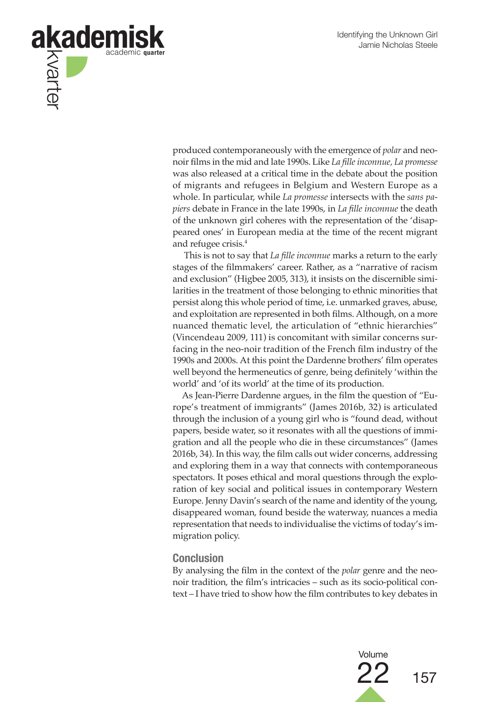

produced contemporaneously with the emergence of *polar* and neonoir films in the mid and late 1990s. Like *La fille inconnue, La promesse*  was also released at a critical time in the debate about the position of migrants and refugees in Belgium and Western Europe as a whole. In particular, while *La promesse* intersects with the *sans papiers* debate in France in the late 1990s, in *La fille inconnue* the death of the unknown girl coheres with the representation of the 'disappeared ones' in European media at the time of the recent migrant and refugee crisis.4

 This is not to say that *La fille inconnue* marks a return to the early stages of the filmmakers' career. Rather, as a "narrative of racism and exclusion" (Higbee 2005, 313), it insists on the discernible similarities in the treatment of those belonging to ethnic minorities that persist along this whole period of time, i.e. unmarked graves, abuse, and exploitation are represented in both films. Although, on a more nuanced thematic level, the articulation of "ethnic hierarchies" (Vincendeau 2009, 111) is concomitant with similar concerns surfacing in the neo-noir tradition of the French film industry of the 1990s and 2000s. At this point the Dardenne brothers' film operates well beyond the hermeneutics of genre, being definitely 'within the world' and 'of its world' at the time of its production.

As Jean-Pierre Dardenne argues, in the film the question of "Europe's treatment of immigrants" (James 2016b, 32) is articulated through the inclusion of a young girl who is "found dead, without papers, beside water, so it resonates with all the questions of immigration and all the people who die in these circumstances" (James 2016b, 34). In this way, the film calls out wider concerns, addressing and exploring them in a way that connects with contemporaneous spectators. It poses ethical and moral questions through the exploration of key social and political issues in contemporary Western Europe. Jenny Davin's search of the name and identity of the young, disappeared woman, found beside the waterway, nuances a media representation that needs to individualise the victims of today's immigration policy.

#### **Conclusion**

By analysing the film in the context of the *polar* genre and the neonoir tradition, the film's intricacies – such as its socio-political context – I have tried to show how the film contributes to key debates in

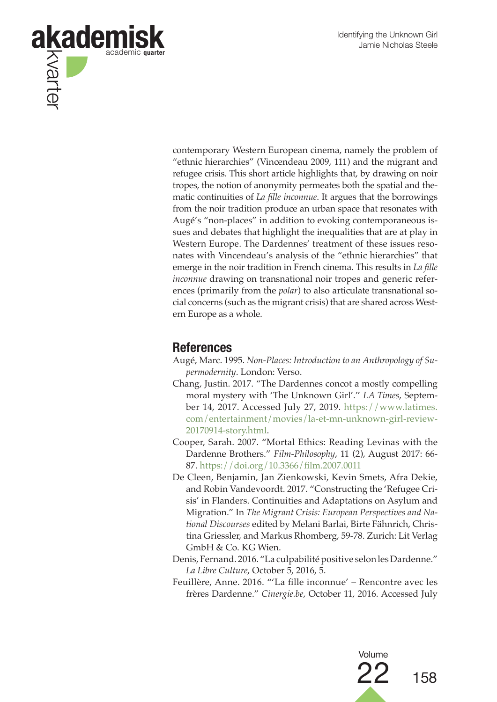

contemporary Western European cinema, namely the problem of "ethnic hierarchies" (Vincendeau 2009, 111) and the migrant and refugee crisis. This short article highlights that, by drawing on noir tropes, the notion of anonymity permeates both the spatial and thematic continuities of *La fille inconnue*. It argues that the borrowings from the noir tradition produce an urban space that resonates with Augé's "non-places" in addition to evoking contemporaneous issues and debates that highlight the inequalities that are at play in Western Europe. The Dardennes' treatment of these issues resonates with Vincendeau's analysis of the "ethnic hierarchies" that emerge in the noir tradition in French cinema. This results in *La fille inconnue* drawing on transnational noir tropes and generic references (primarily from the *polar*) to also articulate transnational social concerns (such as the migrant crisis) that are shared across Western Europe as a whole.

# **References**

Augé, Marc. 1995. *Non-Places: Introduction to an Anthropology of Supermodernity*. London: Verso.

- Chang, Justin. 2017. "The Dardennes concot a mostly compelling moral mystery with 'The Unknown Girl'.'' *LA Times*, September 14, 2017. Accessed July 27, 2019. https://www.latimes. com/entertainment/movies/la-et-mn-unknown-girl-review-20170914-story.html.
- Cooper, Sarah. 2007. "Mortal Ethics: Reading Levinas with the Dardenne Brothers." *Film-Philosophy*, 11 (2), August 2017: 66- 87. https://doi.org/10.3366/film.2007.0011
- De Cleen, Benjamin, Jan Zienkowski, Kevin Smets, Afra Dekie, and Robin Vandevoordt. 2017. "Constructing the 'Refugee Crisis' in Flanders. Continuities and Adaptations on Asylum and Migration." In *The Migrant Crisis: European Perspectives and National Discourses* edited by Melani Barlai, Birte Fähnrich, Christina Griessler, and Markus Rhomberg, 59-78. Zurich: Lit Verlag GmbH & Co. KG Wien.
- Denis, Fernand. 2016. "La culpabilité positive selon les Dardenne." *La Libre Culture*, October 5, 2016, 5.
- Feuillère, Anne. 2016. "'La fille inconnue' Rencontre avec les frères Dardenne." *Cinergie.be*, October 11, 2016. Accessed July

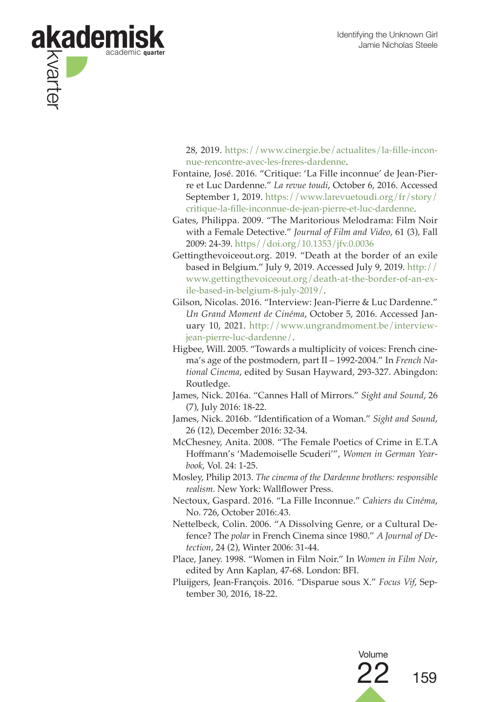

28, 2019. https://www.cinergie.be/actualites/la-fille-inconnue-rencontre-avec-les-freres-dardenne.

- Fontaine, José. 2016. "Critique: 'La Fille inconnue' de Jean-Pierre et Luc Dardenne." *La revue toudi*, October 6, 2016. Accessed September 1, 2019. https://www.larevuetoudi.org/fr/story/ critique-la-fille-inconnue-de-jean-pierre-et-luc-dardenne.
- Gates, Philippa. 2009. "The Maritorious Melodrama: Film Noir with a Female Detective." *Journal of Film and Video*, 61 (3), Fall 2009: 24-39. https//doi.org/10.1353/jfv.0.0036
- Gettingthevoiceout.org. 2019. "Death at the border of an exile based in Belgium." July 9, 2019. Accessed July 9, 2019. http:// www.gettingthevoiceout.org/death-at-the-border-of-an-exile-based-in-belgium-8-july-2019/.
- Gilson, Nicolas. 2016. "Interview: Jean-Pierre & Luc Dardenne." *Un Grand Moment de Cinéma*, October 5, 2016. Accessed January 10, 2021. http://www.ungrandmoment.be/interviewjean-pierre-luc-dardenne/.
- Higbee, Will. 2005. "Towards a multiplicity of voices: French cinema's age of the postmodern, part II – 1992-2004." In *French National Cinema*, edited by Susan Hayward, 293-327. Abingdon: Routledge.
- James, Nick. 2016a. "Cannes Hall of Mirrors." *Sight and Sound*, 26 (7), July 2016: 18-22.
- James, Nick. 2016b. "Identification of a Woman." *Sight and Sound*, 26 (12), December 2016: 32-34.

McChesney, Anita. 2008. "The Female Poetics of Crime in E.T.A Hoffmann's 'Mademoiselle Scuderi'", *Women in German Yearbook*, Vol. 24: 1-25.

Mosley, Philip 2013. *The cinema of the Dardenne brothers: responsible realism.* New York: Wallflower Press.

- Nectoux, Gaspard. 2016. "La Fille Inconnue." *Cahiers du Cinéma*, No. 726, October 2016:.43.
- Nettelbeck, Colin. 2006. "A Dissolving Genre, or a Cultural Defence? The *polar* in French Cinema since 1980." *A Journal of Detection*, 24 (2), Winter 2006: 31-44.
- Place, Janey. 1998. "Women in Film Noir." In *Women in Film Noir*, edited by Ann Kaplan, 47-68. London: BFI.
- Pluijgers, Jean-François. 2016. "Disparue sous X." *Focus Vif*, September 30, 2016, 18-22.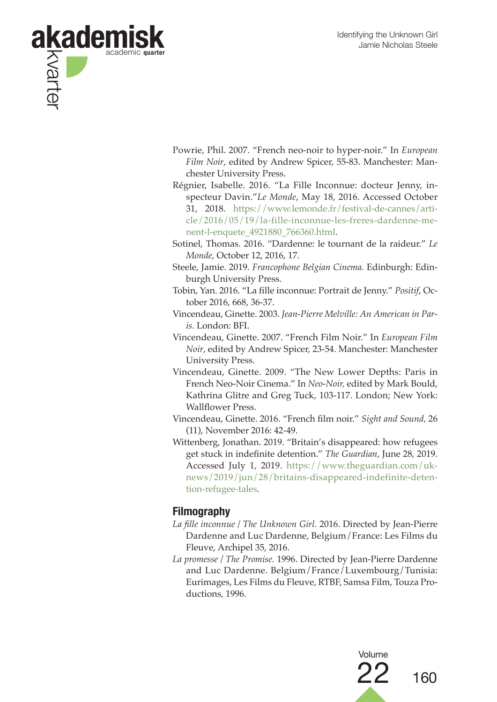

- Powrie, Phil. 2007. "French neo-noir to hyper-noir." In *European Film Noir*, edited by Andrew Spicer, 55-83. Manchester: Manchester University Press.
- Régnier, Isabelle. 2016. "La Fille Inconnue: docteur Jenny, inspecteur Davin."*Le Monde*, May 18, 2016. Accessed October 31, 2018. https://www.lemonde.fr/festival-de-cannes/article/2016/05/19/la-fille-inconnue-les-freres-dardenne-menent-l-enquete\_4921880\_766360.html.
- Sotinel, Thomas. 2016. "Dardenne: le tournant de la raideur." *Le Monde*, October 12, 2016, 17.
- Steele, Jamie. 2019. *Francophone Belgian Cinema.* Edinburgh: Edinburgh University Press.
- Tobin, Yan. 2016. "La fille inconnue: Portrait de Jenny." *Positif*, October 2016, 668, 36-37.
- Vincendeau, Ginette. 2003. *Jean-Pierre Melville: An American in Paris.* London: BFI.
- Vincendeau, Ginette. 2007. "French Film Noir." In *European Film Noir*, edited by Andrew Spicer, 23-54. Manchester: Manchester University Press.
- Vincendeau, Ginette. 2009. "The New Lower Depths: Paris in French Neo-Noir Cinema." In *Neo-Noir,* edited by Mark Bould, Kathrina Glitre and Greg Tuck, 103-117. London; New York: Wallflower Press.
- Vincendeau, Ginette. 2016. "French film noir." *Sight and Sound,* 26 (11), November 2016: 42-49.
- Wittenberg, Jonathan. 2019. "Britain's disappeared: how refugees get stuck in indefinite detention." *The Guardian*, June 28, 2019. Accessed July 1, 2019. https://www.theguardian.com/uknews/2019/jun/28/britains-disappeared-indefinite-detention-refugee-tales.

## **Filmography**

- *La fille inconnue / The Unknown Girl.* 2016. Directed by Jean-Pierre Dardenne and Luc Dardenne, Belgium/France: Les Films du Fleuve, Archipel 35, 2016.
- *La promesse / The Promise.* 1996. Directed by Jean-Pierre Dardenne and Luc Dardenne. Belgium/France/Luxembourg/Tunisia: Eurimages, Les Films du Fleuve, RTBF, Samsa Film, Touza Productions, 1996.

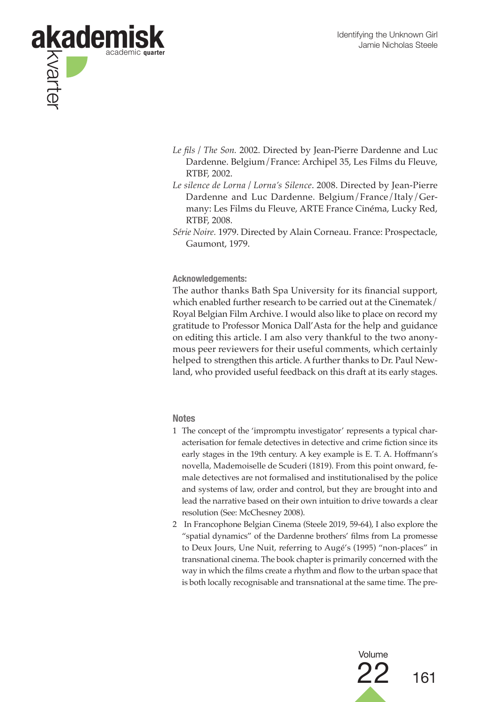

- *Le fils / The Son.* 2002. Directed by Jean-Pierre Dardenne and Luc Dardenne. Belgium/France: Archipel 35, Les Films du Fleuve, RTBF, 2002.
- *Le silence de Lorna / Lorna's Silence*. 2008. Directed by Jean-Pierre Dardenne and Luc Dardenne. Belgium/France/Italy/Germany: Les Films du Fleuve, ARTE France Cinéma, Lucky Red, RTBF, 2008.
- *Série Noire.* 1979. Directed by Alain Corneau. France: Prospectacle, Gaumont, 1979.

**Acknowledgements:** 

The author thanks Bath Spa University for its financial support, which enabled further research to be carried out at the Cinematek/ Royal Belgian Film Archive. I would also like to place on record my gratitude to Professor Monica Dall'Asta for the help and guidance on editing this article. I am also very thankful to the two anonymous peer reviewers for their useful comments, which certainly helped to strengthen this article. A further thanks to Dr. Paul Newland, who provided useful feedback on this draft at its early stages.

#### **Notes**

- 1 The concept of the 'impromptu investigator' represents a typical characterisation for female detectives in detective and crime fiction since its early stages in the 19th century. A key example is E. T. A. Hoffmann's novella, Mademoiselle de Scuderi (1819). From this point onward, female detectives are not formalised and institutionalised by the police and systems of law, order and control, but they are brought into and lead the narrative based on their own intuition to drive towards a clear resolution (See: McChesney 2008).
- 2 In Francophone Belgian Cinema (Steele 2019, 59-64), I also explore the "spatial dynamics" of the Dardenne brothers' films from La promesse to Deux Jours, Une Nuit, referring to Augé's (1995) "non-places" in transnational cinema. The book chapter is primarily concerned with the way in which the films create a rhythm and flow to the urban space that is both locally recognisable and transnational at the same time. The pre-

Volume

 $22$  161